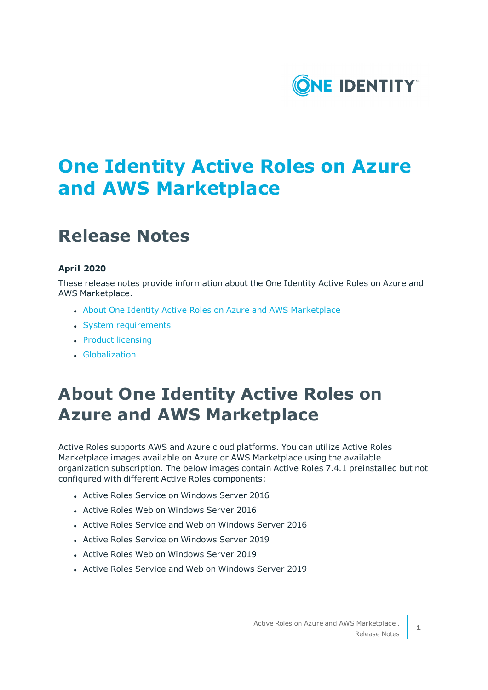

# **One Identity Active Roles on Azure and AWS Marketplace**

## **Release Notes**

### **April 2020**

These release notes provide information about the One Identity Active Roles on Azure and AWS Marketplace.

- About One Identity Active Roles on Azure and AWS [Marketplace](#page-0-0)
- System [requirements](#page-1-0)
- Product [licensing](#page-5-0)
- <span id="page-0-0"></span>**.** [Globalization](#page-6-0)

## **About One Identity Active Roles on Azure and AWS Marketplace**

Active Roles supports AWS and Azure cloud platforms. You can utilize Active Roles Marketplace images available on Azure or AWS Marketplace using the available organization subscription. The below images contain Active Roles 7.4.1 preinstalled but not configured with different Active Roles components:

- Active Roles Service on Windows Server 2016
- Active Roles Web on Windows Server 2016
- Active Roles Service and Web on Windows Server 2016
- Active Roles Service on Windows Server 2019
- Active Roles Web on Windows Server 2019
- **.** Active Roles Service and Web on Windows Server 2019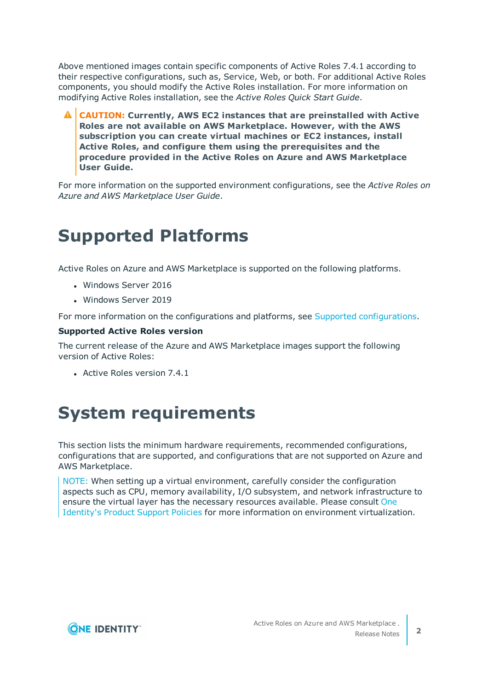Above mentioned images contain specific components of Active Roles 7.4.1 according to their respective configurations, such as, Service, Web, or both. For additional Active Roles components, you should modify the Active Roles installation. For more information on modifying Active Roles installation, see the *Active Roles Quick Start Guide*.

**CAUTION: Currently, AWS EC2 instances that are preinstalled with Active Roles are not available on AWS Marketplace. However, with the AWS subscription you can create virtual machines or EC2 instances, install Active Roles, and configure them using the prerequisites and the procedure provided in the Active Roles on Azure and AWS Marketplace User Guide.**

For more information on the supported environment configurations, see the *Active Roles on Azure and AWS Marketplace User Guide*.

## **Supported Platforms**

Active Roles on Azure and AWS Marketplace is supported on the following platforms.

- Windows Server 2016
- **.** Windows Server 2019

For more information on the [configurations](#page-2-0) and platforms, see Supported configurations.

#### **Supported Active Roles version**

The current release of the Azure and AWS Marketplace images support the following version of Active Roles:

<span id="page-1-0"></span> $\bullet$  Active Roles version 7.4.1

### **System requirements**

This section lists the minimum hardware requirements, recommended configurations, configurations that are supported, and configurations that are not supported on Azure and AWS Marketplace.

NOTE: When setting up a virtual environment, carefully consider the configuration aspects such as CPU, memory availability, I/O subsystem, and network infrastructure to ensure the virtual layer has the necessary resources available. Please consult [One](https://support.oneidentity.com/essentials/support-guide#tab3) [Identity's](https://support.oneidentity.com/essentials/support-guide#tab3) Product Support Policies for more information on environment virtualization.

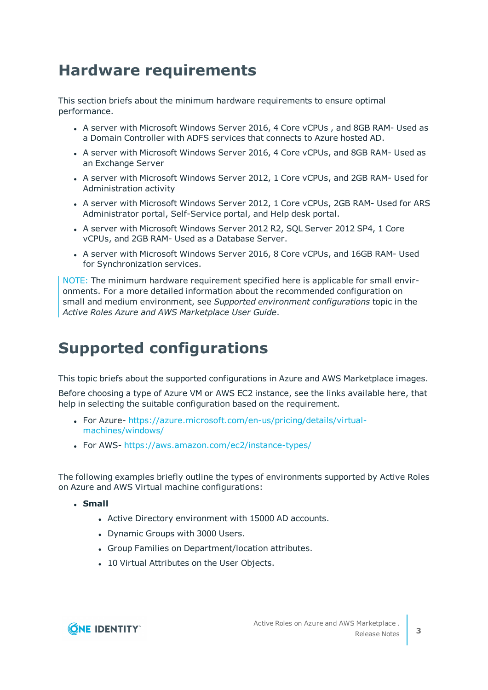### **Hardware requirements**

This section briefs about the minimum hardware requirements to ensure optimal performance.

- A server with Microsoft Windows Server 2016, 4 Core vCPUs, and 8GB RAM- Used as a Domain Controller with ADFS services that connects to Azure hosted AD.
- A server with Microsoft Windows Server 2016, 4 Core vCPUs, and 8GB RAM- Used as an Exchange Server
- A server with Microsoft Windows Server 2012, 1 Core vCPUs, and 2GB RAM- Used for Administration activity
- A server with Microsoft Windows Server 2012, 1 Core vCPUs, 2GB RAM- Used for ARS Administrator portal, Self-Service portal, and Help desk portal.
- A server with Microsoft Windows Server 2012 R2, SQL Server 2012 SP4, 1 Core vCPUs, and 2GB RAM- Used as a Database Server.
- A server with Microsoft Windows Server 2016, 8 Core vCPUs, and 16GB RAM- Used for Synchronization services.

NOTE: The minimum hardware requirement specified here is applicable for small environments. For a more detailed information about the recommended configuration on small and medium environment, see *Supported environment configurations* topic in the *Active Roles Azure and AWS Marketplace User Guide*.

### <span id="page-2-0"></span>**Supported configurations**

This topic briefs about the supported configurations in Azure and AWS Marketplace images.

Before choosing a type of Azure VM or AWS EC2 instance, see the links available here, that help in selecting the suitable configuration based on the requirement.

- For Azure- [https://azure.microsoft.com/en-us/pricing/details/virtual](https://azure.microsoft.com/en-us/pricing/details/virtual-machines/windows/)[machines/windows/](https://azure.microsoft.com/en-us/pricing/details/virtual-machines/windows/)
- For AWS- <https://aws.amazon.com/ec2/instance-types/>

The following examples briefly outline the types of environments supported by Active Roles on Azure and AWS Virtual machine configurations:

<sup>l</sup> **Small**

- Active Directory environment with 15000 AD accounts.
- Dynamic Groups with 3000 Users.
- Group Families on Department/location attributes.
- 10 Virtual Attributes on the User Objects.

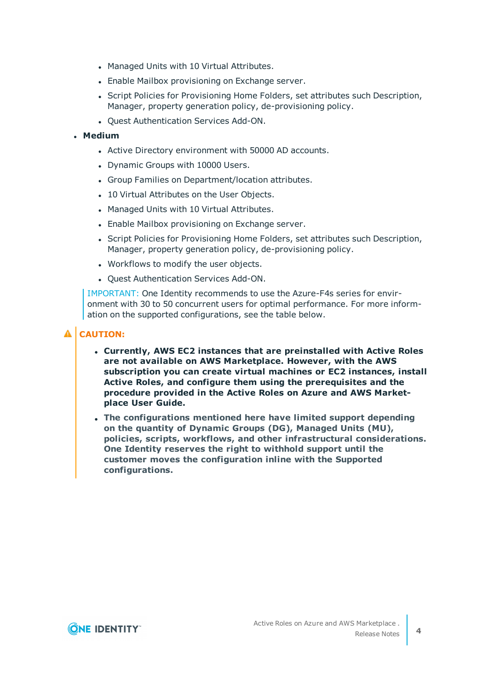- Managed Units with 10 Virtual Attributes.
- Enable Mailbox provisioning on Exchange server.
- Script Policies for Provisioning Home Folders, set attributes such Description, Manager, property generation policy, de-provisioning policy.
- Quest Authentication Services Add-ON.

### <sup>l</sup> **Medium**

- Active Directory environment with 50000 AD accounts.
- Dynamic Groups with 10000 Users.
- Group Families on Department/location attributes.
- 10 Virtual Attributes on the User Objects.
- Managed Units with 10 Virtual Attributes.
- Enable Mailbox provisioning on Exchange server.
- Script Policies for Provisioning Home Folders, set attributes such Description, Manager, property generation policy, de-provisioning policy.
- Workflows to modify the user objects.
- Quest Authentication Services Add-ON.

IMPORTANT: One Identity recommends to use the Azure-F4s series for environment with 30 to 50 concurrent users for optimal performance. For more information on the supported configurations, see the table below.

### **A** CAUTION:

- <sup>l</sup> **Currently, AWS EC2 instances that are preinstalled with Active Roles are not available on AWS Marketplace. However, with the AWS subscription you can create virtual machines or EC2 instances, install Active Roles, and configure them using the prerequisites and the procedure provided in the Active Roles on Azure and AWS Marketplace User Guide.**
- <sup>l</sup> **The configurations mentioned here have limited support depending on the quantity of Dynamic Groups (DG), Managed Units (MU), policies, scripts, workflows, and other infrastructural considerations. One Identity reserves the right to withhold support until the customer moves the configuration inline with the Supported configurations.**

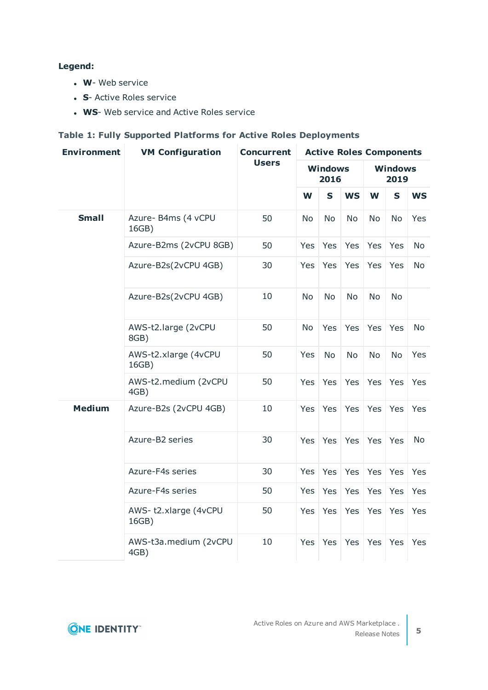### **Legend:**

- **W** Web service
- **.** S- Active Roles service
- **WS-** Web service and Active Roles service

### **Table 1: Fully Supported Platforms for Active Roles Deployments**

| <b>Environment</b> | <b>VM Configuration</b>       | <b>Concurrent</b><br><b>Users</b> | <b>Active Roles Components</b> |             |            |                        |             |            |
|--------------------|-------------------------------|-----------------------------------|--------------------------------|-------------|------------|------------------------|-------------|------------|
|                    |                               |                                   | <b>Windows</b><br>2016         |             |            | <b>Windows</b><br>2019 |             |            |
|                    |                               |                                   | W                              | $\mathbf S$ | <b>WS</b>  | W                      | $\mathbf S$ | <b>WS</b>  |
| <b>Small</b>       | Azure- B4ms (4 vCPU<br>16GB)  | 50                                | <b>No</b>                      | <b>No</b>   | <b>No</b>  | <b>No</b>              | <b>No</b>   | Yes        |
|                    | Azure-B2ms (2vCPU 8GB)        | 50                                | Yes                            | Yes         | <b>Yes</b> | Yes                    | Yes         | <b>No</b>  |
|                    | Azure-B2s(2vCPU 4GB)          | 30                                | Yes                            | Yes         | Yes        | Yes                    | Yes         | No         |
|                    | Azure-B2s(2vCPU 4GB)          | 10                                | No                             | No          | No         | N <sub>o</sub>         | <b>No</b>   |            |
|                    | AWS-t2.large (2vCPU<br>8GB)   | 50                                | <b>No</b>                      | Yes         | Yes        | Yes                    | Yes         | <b>No</b>  |
|                    | AWS-t2.xlarge (4vCPU<br>16GB) | 50                                | Yes                            | <b>No</b>   | <b>No</b>  | <b>No</b>              | <b>No</b>   | <b>Yes</b> |
|                    | AWS-t2.medium (2vCPU<br>4GB)  | 50                                | Yes                            | Yes         | Yes        | Yes                    | Yes         | Yes        |
| <b>Medium</b>      | Azure-B2s (2vCPU 4GB)         | 10                                | Yes                            | Yes         | Yes        | Yes                    | Yes         | Yes        |
|                    | Azure-B2 series               | 30                                | Yes                            | Yes         | Yes        | Yes                    | Yes         | <b>No</b>  |
|                    | Azure-F4s series              | 30                                | Yes                            | Yes         | Yes        | Yes                    | Yes         | Yes        |
|                    | Azure-F4s series              | 50                                | Yes                            | Yes         | Yes        | Yes                    | Yes         | Yes        |
|                    | AWS-t2.xlarge (4vCPU<br>16GB) | 50                                | Yes                            | Yes         | Yes        | Yes                    | Yes         | Yes        |
|                    | AWS-t3a.medium (2vCPU<br>4GB) | 10                                | Yes                            | Yes         | Yes        | Yes                    | Yes         | Yes        |

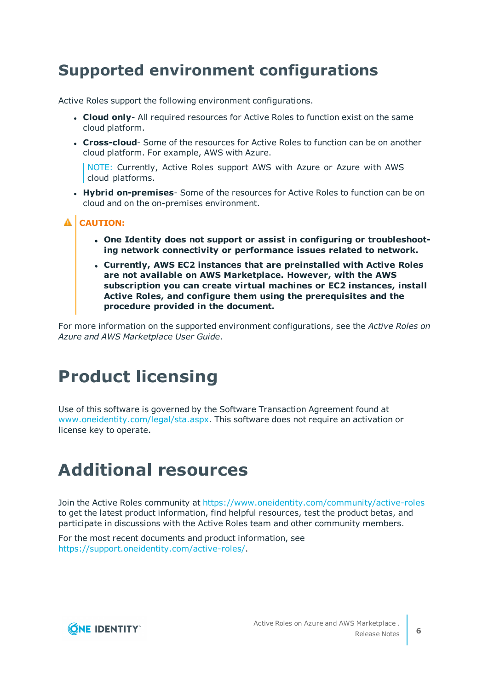### **Supported environment configurations**

Active Roles support the following environment configurations.

- **Cloud only-** All required resources for Active Roles to function exist on the same cloud platform.
- **Cross-cloud** Some of the resources for Active Roles to function can be on another cloud platform. For example, AWS with Azure.

NOTE: Currently, Active Roles support AWS with Azure or Azure with AWS cloud platforms.

**• Hybrid on-premises**- Some of the resources for Active Roles to function can be on cloud and on the on-premises environment.

### **A** CAUTION:

- <sup>l</sup> **One Identity does not support or assist in configuring or troubleshooting network connectivity or performance issues related to network.**
- <sup>l</sup> **Currently, AWS EC2 instances that are preinstalled with Active Roles are not available on AWS Marketplace. However, with the AWS subscription you can create virtual machines or EC2 instances, install Active Roles, and configure them using the prerequisites and the procedure provided in the document.**

For more information on the supported environment configurations, see the *Active Roles on Azure and AWS Marketplace User Guide*.

## <span id="page-5-0"></span>**Product licensing**

Use of this software is governed by the Software Transaction Agreement found at [www.oneidentity.com/legal/sta.aspx](http://www.oneidentity.com/legal/sta.aspx). This software does not require an activation or license key to operate.

## **Additional resources**

Join the Active Roles community at <https://www.oneidentity.com/community/active-roles> to get the latest product information, find helpful resources, test the product betas, and participate in discussions with the Active Roles team and other community members.

For the most recent documents and product information, see <https://support.oneidentity.com/active-roles/>.

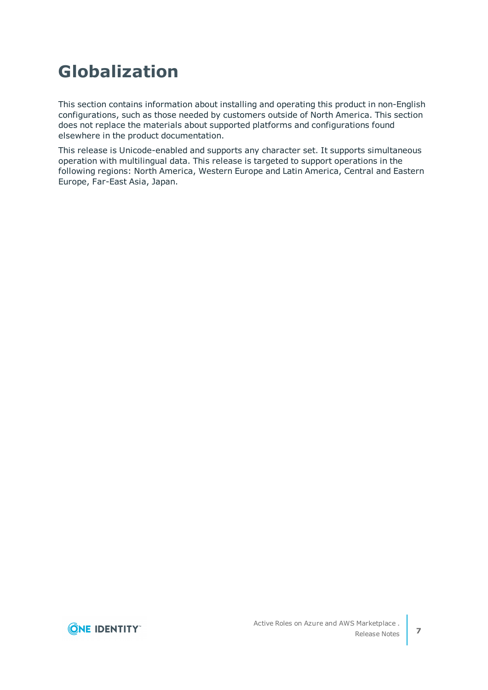## <span id="page-6-0"></span>**Globalization**

This section contains information about installing and operating this product in non-English configurations, such as those needed by customers outside of North America. This section does not replace the materials about supported platforms and configurations found elsewhere in the product documentation.

This release is Unicode-enabled and supports any character set. It supports simultaneous operation with multilingual data. This release is targeted to support operations in the following regions: North America, Western Europe and Latin America, Central and Eastern Europe, Far-East Asia, Japan.

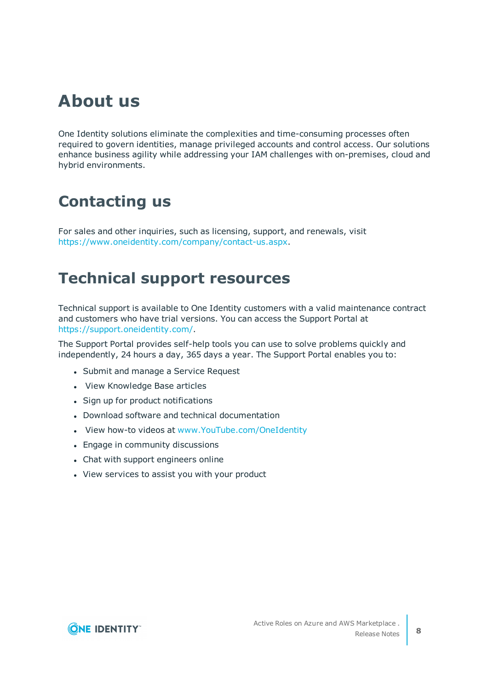### **About us**

One Identity solutions eliminate the complexities and time-consuming processes often required to govern identities, manage privileged accounts and control access. Our solutions enhance business agility while addressing your IAM challenges with on-premises, cloud and hybrid environments.

### **Contacting us**

For sales and other inquiries, such as licensing, support, and renewals, visit <https://www.oneidentity.com/company/contact-us.aspx>.

### **Technical support resources**

Technical support is available to One Identity customers with a valid maintenance contract and customers who have trial versions. You can access the Support Portal at [https://support.oneidentity.com/.](https://support.oneidentity.com/)

The Support Portal provides self-help tools you can use to solve problems quickly and independently, 24 hours a day, 365 days a year. The Support Portal enables you to:

- Submit and manage a Service Request
- View Knowledge Base articles
- Sign up for product notifications
- Download software and technical documentation
- . View how-to videos at [www.YouTube.com/OneIdentity](http://www.youtube.com/OneIdentity)
- Engage in community discussions
- Chat with support engineers online
- View services to assist you with your product